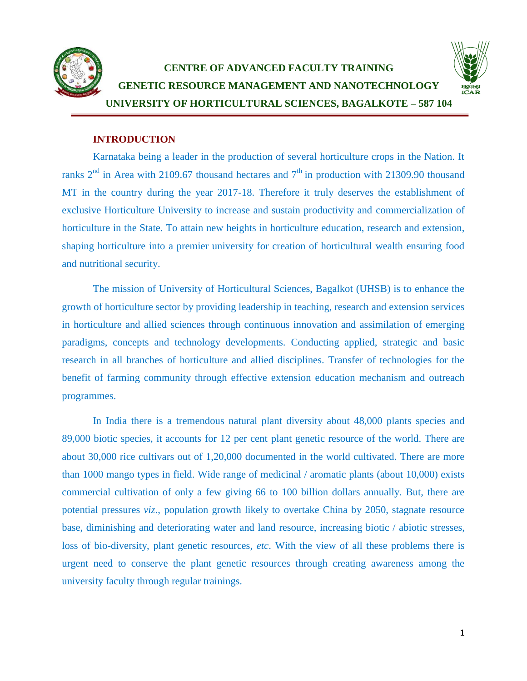

# **CENTRE OF ADVANCED FACULTY TRAINING GENETIC RESOURCE MANAGEMENT AND NANOTECHNOLOGY UNIVERSITY OF HORTICULTURAL SCIENCES, BAGALKOTE – 587 104**



#### **INTRODUCTION**

Karnataka being a leader in the production of several horticulture crops in the Nation. It ranks  $2<sup>nd</sup>$  in Area with 2109.67 thousand hectares and  $7<sup>th</sup>$  in production with 21309.90 thousand MT in the country during the year 2017-18. Therefore it truly deserves the establishment of exclusive Horticulture University to increase and sustain productivity and commercialization of horticulture in the State. To attain new heights in horticulture education, research and extension, shaping horticulture into a premier university for creation of horticultural wealth ensuring food and nutritional security.

The mission of University of Horticultural Sciences, Bagalkot (UHSB) is to enhance the growth of horticulture sector by providing leadership in teaching, research and extension services in horticulture and allied sciences through continuous innovation and assimilation of emerging paradigms, concepts and technology developments. Conducting applied, strategic and basic research in all branches of horticulture and allied disciplines. Transfer of technologies for the benefit of farming community through effective extension education mechanism and outreach programmes.

In India there is a tremendous natural plant diversity about 48,000 plants species and 89,000 biotic species, it accounts for 12 per cent plant genetic resource of the world. There are about 30,000 rice cultivars out of 1,20,000 documented in the world cultivated. There are more than 1000 mango types in field. Wide range of medicinal / aromatic plants (about 10,000) exists commercial cultivation of only a few giving 66 to 100 billion dollars annually. But, there are potential pressures *viz*., population growth likely to overtake China by 2050, stagnate resource base, diminishing and deteriorating water and land resource, increasing biotic / abiotic stresses, loss of bio-diversity, plant genetic resources, *etc*. With the view of all these problems there is urgent need to conserve the plant genetic resources through creating awareness among the university faculty through regular trainings.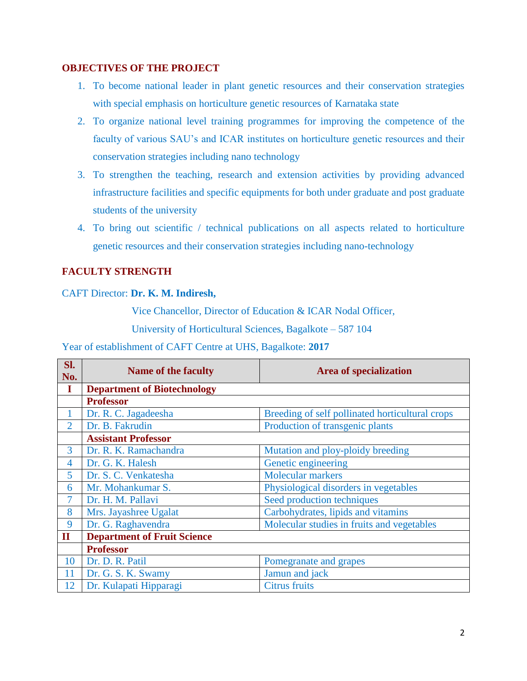#### **OBJECTIVES OF THE PROJECT**

- 1. To become national leader in plant genetic resources and their conservation strategies with special emphasis on horticulture genetic resources of Karnataka state
- 2. To organize national level training programmes for improving the competence of the faculty of various SAU's and ICAR institutes on horticulture genetic resources and their conservation strategies including nano technology
- 3. To strengthen the teaching, research and extension activities by providing advanced infrastructure facilities and specific equipments for both under graduate and post graduate students of the university
- 4. To bring out scientific / technical publications on all aspects related to horticulture genetic resources and their conservation strategies including nano-technology

### **FACULTY STRENGTH**

#### CAFT Director: **Dr. K. M. Indiresh,**

Vice Chancellor, Director of Education & ICAR Nodal Officer,

University of Horticultural Sciences, Bagalkote – 587 104

Year of establishment of CAFT Centre at UHS, Bagalkote: **2017**

| Sl.<br>No.     | <b>Name of the faculty</b>                                 | <b>Area of specialization</b>                   |  |  |  |  |  |
|----------------|------------------------------------------------------------|-------------------------------------------------|--|--|--|--|--|
| I              | <b>Department of Biotechnology</b>                         |                                                 |  |  |  |  |  |
|                | <b>Professor</b>                                           |                                                 |  |  |  |  |  |
|                | Dr. R. C. Jagadeesha                                       | Breeding of self pollinated horticultural crops |  |  |  |  |  |
| $\overline{2}$ | Dr. B. Fakrudin                                            | Production of transgenic plants                 |  |  |  |  |  |
|                | <b>Assistant Professor</b>                                 |                                                 |  |  |  |  |  |
| 3              | Dr. R. K. Ramachandra                                      | Mutation and ploy-ploidy breeding               |  |  |  |  |  |
| $\overline{4}$ | Dr. G. K. Halesh                                           | Genetic engineering                             |  |  |  |  |  |
| 5              | Dr. S. C. Venkatesha                                       | Molecular markers                               |  |  |  |  |  |
| 6              | Mr. Mohankumar S.<br>Physiological disorders in vegetables |                                                 |  |  |  |  |  |
| 7              | Seed production techniques<br>Dr. H. M. Pallavi            |                                                 |  |  |  |  |  |
| 8              | Mrs. Jayashree Ugalat                                      | Carbohydrates, lipids and vitamins              |  |  |  |  |  |
| 9              | Dr. G. Raghavendra                                         | Molecular studies in fruits and vegetables      |  |  |  |  |  |
| $\mathbf{I}$   | <b>Department of Fruit Science</b>                         |                                                 |  |  |  |  |  |
|                | <b>Professor</b>                                           |                                                 |  |  |  |  |  |
| 10             | Dr. D. R. Patil                                            | Pomegranate and grapes                          |  |  |  |  |  |
| 11             | Dr. G. S. K. Swamy                                         | Jamun and jack                                  |  |  |  |  |  |
| 12             | Dr. Kulapati Hipparagi                                     | <b>Citrus fruits</b>                            |  |  |  |  |  |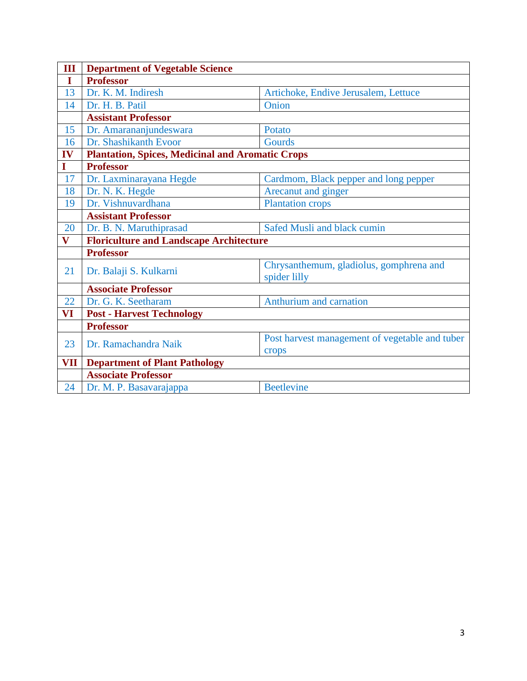| Ш                       | <b>Department of Vegetable Science</b>                                          |                                                         |  |  |  |  |
|-------------------------|---------------------------------------------------------------------------------|---------------------------------------------------------|--|--|--|--|
| I                       | <b>Professor</b>                                                                |                                                         |  |  |  |  |
| 13                      | Dr. K. M. Indiresh<br>Artichoke, Endive Jerusalem, Lettuce                      |                                                         |  |  |  |  |
| 14                      | Dr. H. B. Patil<br>Onion                                                        |                                                         |  |  |  |  |
|                         | <b>Assistant Professor</b>                                                      |                                                         |  |  |  |  |
| 15                      | Dr. Amarananjundeswara                                                          | Potato                                                  |  |  |  |  |
| 16                      | Dr. Shashikanth Evoor                                                           | Gourds                                                  |  |  |  |  |
| IV                      | <b>Plantation, Spices, Medicinal and Aromatic Crops</b>                         |                                                         |  |  |  |  |
| $\mathbf I$             | <b>Professor</b>                                                                |                                                         |  |  |  |  |
| 17                      | Dr. Laxminarayana Hegde                                                         | Cardmom, Black pepper and long pepper                   |  |  |  |  |
| 18                      | Dr. N. K. Hegde<br>Arecanut and ginger                                          |                                                         |  |  |  |  |
| 19                      | Dr. Vishnuvardhana<br><b>Plantation crops</b>                                   |                                                         |  |  |  |  |
|                         | <b>Assistant Professor</b>                                                      |                                                         |  |  |  |  |
| 20                      | Dr. B. N. Maruthiprasad                                                         | Safed Musli and black cumin                             |  |  |  |  |
| $\overline{\mathbf{V}}$ | <b>Floriculture and Landscape Architecture</b>                                  |                                                         |  |  |  |  |
|                         | <b>Professor</b>                                                                |                                                         |  |  |  |  |
| 21                      | Dr. Balaji S. Kulkarni                                                          | Chrysanthemum, gladiolus, gomphrena and<br>spider lilly |  |  |  |  |
|                         | <b>Associate Professor</b>                                                      |                                                         |  |  |  |  |
| 22                      | Dr. G. K. Seetharam                                                             | Anthurium and carnation                                 |  |  |  |  |
| VI                      | <b>Post - Harvest Technology</b>                                                |                                                         |  |  |  |  |
|                         | <b>Professor</b>                                                                |                                                         |  |  |  |  |
| 23                      | Post harvest management of vegetable and tuber<br>Dr. Ramachandra Naik<br>crops |                                                         |  |  |  |  |
| VII                     | <b>Department of Plant Pathology</b>                                            |                                                         |  |  |  |  |
|                         | <b>Associate Professor</b>                                                      |                                                         |  |  |  |  |
| 24                      | Dr. M. P. Basavarajappa                                                         | <b>Beetlevine</b>                                       |  |  |  |  |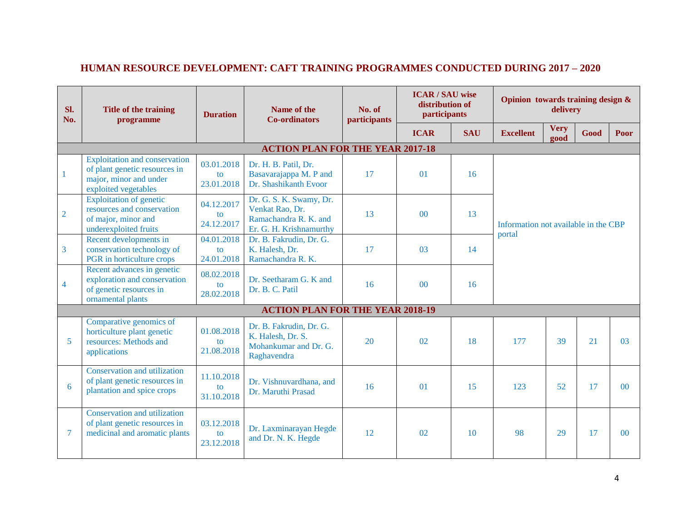| Sl.<br>No.     | Title of the training<br>programme                                                                                      | <b>Duration</b>                          | Name of the<br><b>Co-ordinators</b>                                                            | No. of<br>participants | <b>ICAR/SAU</b> wise<br>distribution of<br>participants |            | Opinion towards training design &<br>delivery  |                     |      |                |
|----------------|-------------------------------------------------------------------------------------------------------------------------|------------------------------------------|------------------------------------------------------------------------------------------------|------------------------|---------------------------------------------------------|------------|------------------------------------------------|---------------------|------|----------------|
|                |                                                                                                                         |                                          |                                                                                                |                        | <b>ICAR</b>                                             | <b>SAU</b> | <b>Excellent</b>                               | <b>Very</b><br>good | Good | Poor           |
|                | <b>ACTION PLAN FOR THE YEAR 2017-18</b>                                                                                 |                                          |                                                                                                |                        |                                                         |            |                                                |                     |      |                |
| $\mathbf{1}$   | <b>Exploitation</b> and conservation<br>of plant genetic resources in<br>major, minor and under<br>exploited vegetables | 03.01.2018<br>to<br>23.01.2018           | Dr. H. B. Patil, Dr.<br>Basavarajappa M. P and<br>Dr. Shashikanth Evoor                        | 17                     | $\Omega$                                                | 16         |                                                |                     |      |                |
| $\overline{2}$ | <b>Exploitation of genetic</b><br>resources and conservation<br>of major, minor and<br>underexploited fruits            | 04.12.2017<br>to<br>24.12.2017           | Dr. G. S. K. Swamy, Dr.<br>Venkat Rao, Dr.<br>Ramachandra R. K. and<br>Er. G. H. Krishnamurthy | 13                     | 0 <sup>0</sup>                                          | 13         | Information not available in the CBP<br>portal |                     |      |                |
| $\overline{3}$ | Recent developments in<br>conservation technology of<br>PGR in horticulture crops                                       | 04.01.2018<br>$\mathbf{t}$<br>24.01.2018 | Dr. B. Fakrudin, Dr. G.<br>K. Halesh, Dr.<br>Ramachandra R. K.                                 | 17                     | 03                                                      | 14         |                                                |                     |      |                |
| $\overline{4}$ | Recent advances in genetic<br>exploration and conservation<br>of genetic resources in<br>ornamental plants              | 08.02.2018<br>to<br>28.02.2018           | Dr. Seetharam G. K and<br>Dr. B. C. Patil                                                      | 16                     | 00                                                      | 16         |                                                |                     |      |                |
|                |                                                                                                                         |                                          | <b>ACTION PLAN FOR THE YEAR 2018-19</b>                                                        |                        |                                                         |            |                                                |                     |      |                |
| 5              | Comparative genomics of<br>horticulture plant genetic<br>resources: Methods and<br>applications                         | 01.08.2018<br>to<br>21.08.2018           | Dr. B. Fakrudin, Dr. G.<br>K. Halesh, Dr. S.<br>Mohankumar and Dr. G.<br>Raghavendra           | 20                     | 02                                                      | 18         | 177                                            | 39                  | 21   | 03             |
| 6              | Conservation and utilization<br>of plant genetic resources in<br>plantation and spice crops                             | 11.10.2018<br>to<br>31.10.2018           | Dr. Vishnuvardhana, and<br>Dr. Maruthi Prasad                                                  | 16                     | $\Omega$                                                | 15         | 123                                            | 52                  | 17   | 0 <sup>0</sup> |
| $\overline{7}$ | Conservation and utilization<br>of plant genetic resources in<br>medicinal and aromatic plants                          | 03.12.2018<br>to<br>23.12.2018           | Dr. Laxminarayan Hegde<br>and Dr. N. K. Hegde                                                  | 12                     | 02                                                      | 10         | 98                                             | 29                  | 17   | $00\,$         |

## **HUMAN RESOURCE DEVELOPMENT: CAFT TRAINING PROGRAMMES CONDUCTED DURING 2017 – 2020**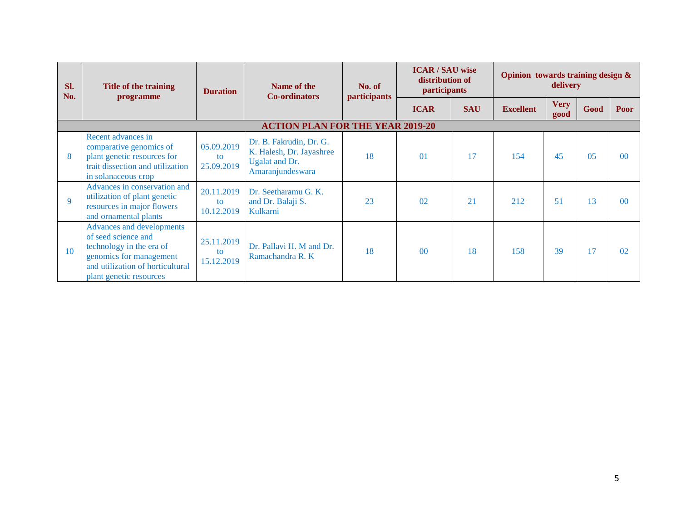| Sl.<br>No.  | Title of the training<br>programme                                                                                                                                            | <b>Duration</b>                | Name of the<br><b>Co-ordinators</b>                                                              | No. of<br>participants | <b>ICAR/SAU wise</b><br>distribution of<br>participants |            | Opinion towards training design &<br>delivery |                     |                |                |
|-------------|-------------------------------------------------------------------------------------------------------------------------------------------------------------------------------|--------------------------------|--------------------------------------------------------------------------------------------------|------------------------|---------------------------------------------------------|------------|-----------------------------------------------|---------------------|----------------|----------------|
|             |                                                                                                                                                                               |                                |                                                                                                  |                        | <b>ICAR</b>                                             | <b>SAU</b> | <b>Excellent</b>                              | <b>Very</b><br>good | Good           | <b>Poor</b>    |
|             |                                                                                                                                                                               |                                | <b>ACTION PLAN FOR THE YEAR 2019-20</b>                                                          |                        |                                                         |            |                                               |                     |                |                |
| 8           | Recent advances in<br>comparative genomics of<br>plant genetic resources for<br>trait dissection and utilization<br>in solanaceous crop                                       | 05.09.2019<br>to<br>25.09.2019 | Dr. B. Fakrudin, Dr. G.<br>K. Halesh, Dr. Jayashree<br><b>Ugalat and Dr.</b><br>Amaranjundeswara | 18                     | $\Omega$                                                | 17         | 154                                           | 45                  | 0 <sub>5</sub> | 0 <sup>0</sup> |
| $\mathbf Q$ | Advances in conservation and<br>utilization of plant genetic<br>resources in major flowers<br>and ornamental plants                                                           | 20.11.2019<br>to<br>10.12.2019 | Dr. Seetharamu G. K.<br>and Dr. Balaji S.<br>Kulkarni                                            | 23                     | 0 <sup>2</sup>                                          | 21         | 212                                           | 51                  | 13             | 0 <sup>0</sup> |
| 10          | <b>Advances and developments</b><br>of seed science and<br>technology in the era of<br>genomics for management<br>and utilization of horticultural<br>plant genetic resources | 25.11.2019<br>to<br>15.12.2019 | Dr. Pallavi H. M and Dr.<br>Ramachandra R. K                                                     | 18                     | $\Omega$                                                | 18         | 158                                           | 39                  | 17             | 02             |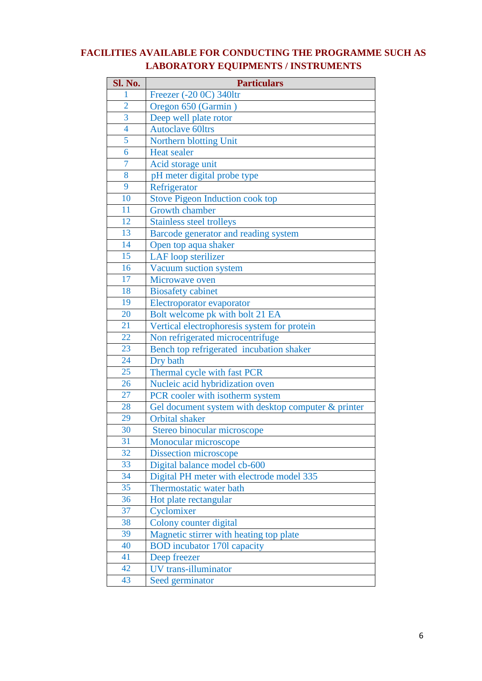## **FACILITIES AVAILABLE FOR CONDUCTING THE PROGRAMME SUCH AS LABORATORY EQUIPMENTS / INSTRUMENTS**

| Sl. No.                 | <b>Particulars</b>                                  |
|-------------------------|-----------------------------------------------------|
| 1                       | Freezer (-20 0C) 340ltr                             |
| $\overline{2}$          | Oregon 650 (Garmin)                                 |
| $\overline{3}$          | Deep well plate rotor                               |
| $\overline{\mathbf{4}}$ | <b>Autoclave 60ltrs</b>                             |
| 5                       | Northern blotting Unit                              |
| 6                       | <b>Heat sealer</b>                                  |
| $\overline{7}$          | Acid storage unit                                   |
| 8                       | pH meter digital probe type                         |
| 9                       | Refrigerator                                        |
| 10                      | <b>Stove Pigeon Induction cook top</b>              |
| 11                      | <b>Growth chamber</b>                               |
| 12                      | <b>Stainless steel trolleys</b>                     |
| 13                      | Barcode generator and reading system                |
| 14                      | Open top aqua shaker                                |
| 15                      | <b>LAF</b> loop sterilizer                          |
| 16                      | Vacuum suction system                               |
| 17                      | Microwave oven                                      |
| 18                      | <b>Biosafety</b> cabinet                            |
| 19                      | Electroporator evaporator                           |
| 20                      | Bolt welcome pk with bolt 21 EA                     |
| 21                      | Vertical electrophoresis system for protein         |
| 22                      | Non refrigerated microcentrifuge                    |
| 23                      | Bench top refrigerated incubation shaker            |
| 24                      | Dry bath                                            |
| 25                      | Thermal cycle with fast PCR                         |
| 26                      | Nucleic acid hybridization oven                     |
| 27                      | PCR cooler with isotherm system                     |
| 28                      | Gel document system with desktop computer & printer |
| 29                      | <b>Orbital</b> shaker                               |
| 30                      | Stereo binocular microscope                         |
| 31                      | Monocular microscope                                |
| 32                      | <b>Dissection microscope</b>                        |
| 33                      | Digital balance model cb-600                        |
| 34                      | Digital PH meter with electrode model 335           |
| 35                      | Thermostatic water bath                             |
| 36                      | Hot plate rectangular                               |
| 37                      | Cyclomixer                                          |
| 38                      | Colony counter digital                              |
| 39                      | Magnetic stirrer with heating top plate             |
| 40                      | <b>BOD</b> incubator 170l capacity                  |
| 41                      | Deep freezer                                        |
| 42                      | UV trans-illuminator                                |
| 43                      | Seed germinator                                     |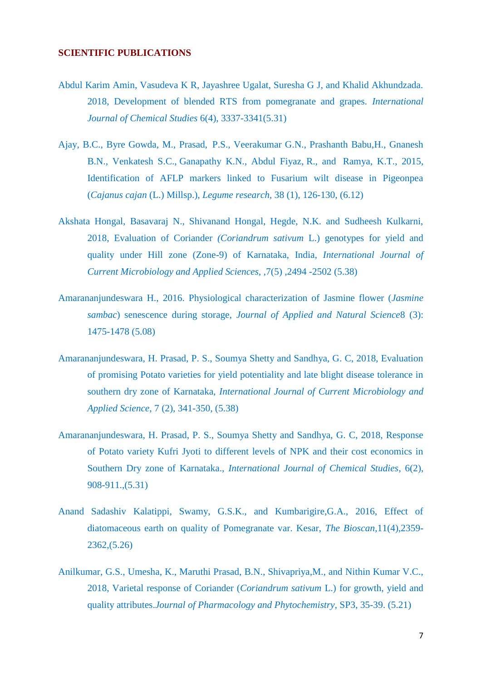#### **SCIENTIFIC PUBLICATIONS**

- Abdul Karim Amin, Vasudeva K R, Jayashree Ugalat, Suresha G J, and Khalid Akhundzada. 2018, Development of blended RTS from pomegranate and grapes. *International Journal of Chemical Studies* 6(4), 3337-3341(5.31)
- Ajay, B.C., Byre Gowda, M., Prasad, P.S., Veerakumar G.N., Prashanth Babu,H., Gnanesh B.N., Venkatesh S.C., Ganapathy K.N., Abdul Fiyaz, R., and Ramya, K.T., 2015, Identification of AFLP markers linked to Fusarium wilt disease in Pigeonpea (*Cajanus cajan* (L.) Millsp.), *Legume research,* 38 (1), 126-130, (6.12)
- Akshata Hongal, Basavaraj N., Shivanand Hongal, Hegde, N.K. and Sudheesh Kulkarni, 2018, Evaluation of Coriander *(Coriandrum sativum* L.) genotypes for yield and quality under Hill zone (Zone-9) of Karnataka, India, *International Journal of Current Microbiology and Applied Sciences, ,*7(5) ,2494 -2502 (5.38)
- Amarananjundeswara H., 2016. Physiological characterization of Jasmine flower (*Jasmine sambac*) senescence during storage, *Journal of Applied and Natural Science*8 (3): 1475-1478 (5.08)
- Amarananjundeswara, H. Prasad, P. S., Soumya Shetty and Sandhya, G. C, 2018, Evaluation of promising Potato varieties for yield potentiality and late blight disease tolerance in southern dry zone of Karnataka, *International Journal of Current Microbiology and Applied Science*, 7 (2), 341-350, (5.38)
- Amarananjundeswara, H. Prasad, P. S., Soumya Shetty and Sandhya, G. C, 2018, Response of Potato variety Kufri Jyoti to different levels of NPK and their cost economics in Southern Dry zone of Karnataka., *International Journal of Chemical Studies*, 6(2), 908-911.,(5.31)
- Anand Sadashiv Kalatippi, Swamy, G.S.K., and Kumbarigire,G.A., 2016, Effect of diatomaceous earth on quality of Pomegranate var. Kesar, *The Bioscan,*11(4),2359- 2362,(5.26)
- Anilkumar, G.S., Umesha, K., Maruthi Prasad, B.N., Shivapriya,M., and Nithin Kumar V.C., 2018, Varietal response of Coriander (*Coriandrum sativum* L.) for growth, yield and quality attributes.*Journal of Pharmacology and Phytochemistry,* SP3, 35-39. (5.21)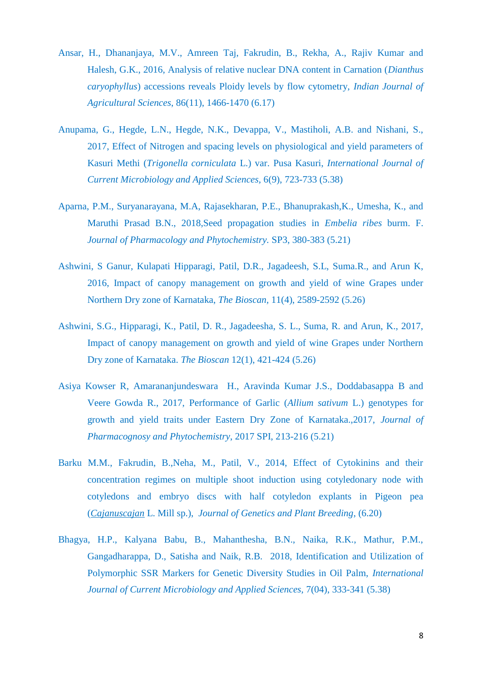- Ansar, H., Dhananjaya, M.V., Amreen Taj, Fakrudin, B., Rekha, A., Rajiv Kumar and Halesh, G.K., 2016, Analysis of relative nuclear DNA content in Carnation (*Dianthus caryophyllus*) accessions reveals Ploidy levels by flow cytometry, *Indian Journal of Agricultural Sciences*, 86(11), 1466-1470 (6.17)
- Anupama, G., Hegde, L.N., Hegde, N.K., Devappa, V., Mastiholi, A.B. and Nishani, S., 2017, Effect of Nitrogen and spacing levels on physiological and yield parameters of Kasuri Methi (*Trigonella corniculata* L.) var. Pusa Kasuri, *International Journal of Current Microbiology and Applied Sciences,* 6(9), 723-733 (5.38)
- Aparna, P.M., Suryanarayana, M.A, Rajasekharan, P.E., Bhanuprakash,K., Umesha, K., and Maruthi Prasad B.N., 2018,Seed propagation studies in *Embelia ribes* burm. F. *Journal of Pharmacology and Phytochemistry.* SP3, 380-383 (5.21)
- Ashwini, S Ganur, Kulapati Hipparagi, Patil, D.R., Jagadeesh, S.L, Suma.R., and Arun K, 2016, Impact of canopy management on growth and yield of wine Grapes under Northern Dry zone of Karnataka, *The Bioscan,* 11(4), 2589-2592 (5.26)
- Ashwini, S.G., Hipparagi, K., Patil, D. R., Jagadeesha, S. L., Suma, R. and Arun, K., 2017, Impact of canopy management on growth and yield of wine Grapes under Northern Dry zone of Karnataka. *The Bioscan* 12(1), 421-424 (5.26)
- Asiya Kowser R, Amarananjundeswara H., Aravinda Kumar J.S., Doddabasappa B and Veere Gowda R., 2017, Performance of Garlic (*Allium sativum* L.) genotypes for growth and yield traits under Eastern Dry Zone of Karnataka.,2017, *Journal of Pharmacognosy and Phytochemistry*, 2017 SPI, 213-216 (5.21)
- Barku M.M., Fakrudin, B.,Neha, M., Patil, V., 2014, Effect of Cytokinins and their concentration regimes on multiple shoot induction using cotyledonary node with cotyledons and embryo discs with half cotyledon explants in Pigeon pea (*Cajanuscajan* L. Mill sp.), *Journal of Genetics and Plant Breeding*, (6.20)
- Bhagya, H.P., Kalyana Babu, B., Mahanthesha, B.N., Naika, R.K., Mathur, P.M., Gangadharappa, D., Satisha and Naik, R.B. 2018, Identification and Utilization of Polymorphic SSR Markers for Genetic Diversity Studies in Oil Palm, *International Journal of Current Microbiology and Applied Sciences,* 7(04), 333-341 (5.38)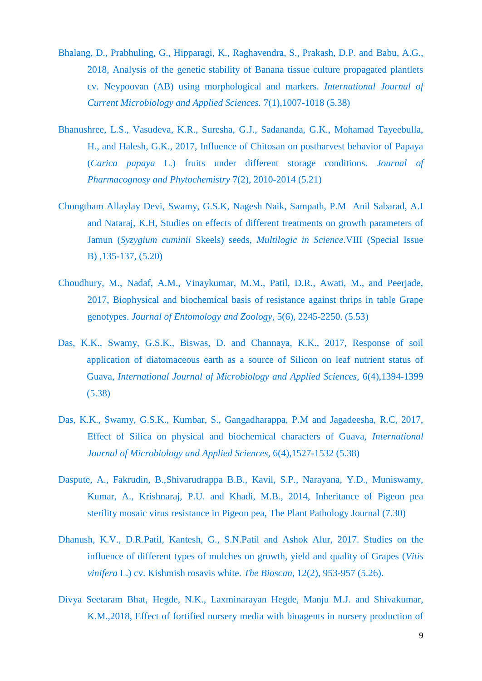- Bhalang, D., Prabhuling, G., Hipparagi, K., Raghavendra, S., Prakash, D.P. and Babu, A.G., 2018, Analysis of the genetic stability of Banana tissue culture propagated plantlets cv. Neypoovan (AB) using morphological and markers. *International Journal of Current Microbiology and Applied Sciences.* 7(1),1007-1018 (5.38)
- Bhanushree, L.S., Vasudeva, K.R., Suresha, G.J., Sadananda, G.K., Mohamad Tayeebulla, H., and Halesh, G.K., 2017, Influence of Chitosan on postharvest behavior of Papaya (*Carica papaya* L.) fruits under different storage conditions. *Journal of Pharmacognosy and Phytochemistry* 7(2), 2010-2014 (5.21)
- Chongtham Allaylay Devi, Swamy, G.S.K, Nagesh Naik, Sampath, P.M Anil Sabarad, A.I and Nataraj, K.H, Studies on effects of different treatments on growth parameters of Jamun (*Syzygium cuminii* Skeels) seeds, *Multilogic in Science*.VIII (Special Issue B) ,135-137, (5.20)
- Choudhury, M., Nadaf, A.M., Vinaykumar, M.M., Patil, D.R., Awati, M., and Peerjade, 2017, Biophysical and biochemical basis of resistance against thrips in table Grape genotypes. *Journal of Entomology and Zoology*, 5(6), 2245-2250. (5.53)
- Das, K.K., Swamy, G.S.K., Biswas, D. and Channaya, K.K., 2017, Response of soil application of diatomaceous earth as a source of Silicon on leaf nutrient status of Guava, *International Journal of Microbiology and Applied Sciences,* 6(4),1394-1399 (5.38)
- Das, K.K., Swamy, G.S.K., Kumbar, S., Gangadharappa, P.M and Jagadeesha, R.C, 2017, Effect of Silica on physical and biochemical characters of Guava, *International Journal of Microbiology and Applied Sciences,* 6(4),1527-1532 (5.38)
- Daspute, A., Fakrudin, B.,Shivarudrappa B.B., Kavil, S.P., Narayana, Y.D., Muniswamy, Kumar, A., Krishnaraj, P.U. and Khadi, M.B., 2014, Inheritance of Pigeon pea sterility mosaic virus resistance in Pigeon pea, The Plant Pathology Journal (7.30)
- Dhanush, K.V., D.R.Patil, Kantesh, G., S.N.Patil and Ashok Alur, 2017. Studies on the influence of different types of mulches on growth, yield and quality of Grapes (*Vitis vinifera* L.) cv. Kishmish rosavis white. *The Bioscan*, 12(2), 953-957 (5.26).
- Divya Seetaram Bhat, Hegde, N.K., Laxminarayan Hegde, Manju M.J. and Shivakumar, K.M.,2018, Effect of fortified nursery media with bioagents in nursery production of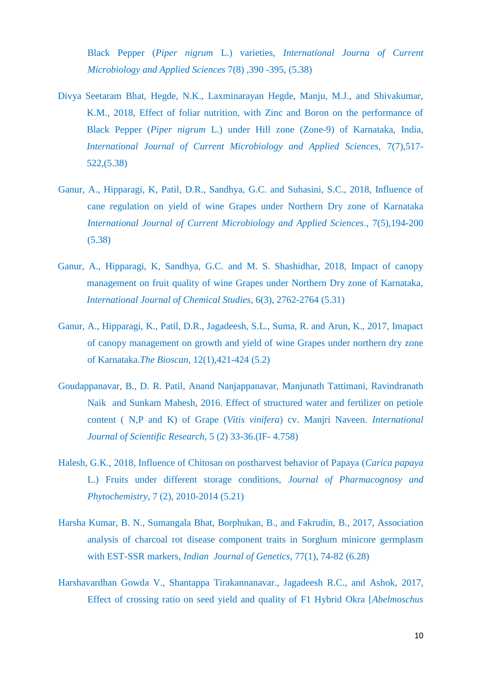Black Pepper (*Piper nigrum* L.) varieties, *International Journa of Current Microbiology and Applied Sciences* 7(8) ,390 -395, (5.38)

- Divya Seetaram Bhat, Hegde, N.K., Laxminarayan Hegde, Manju, M.J., and Shivakumar, K.M., 2018, Effect of foliar nutrition, with Zinc and Boron on the performance of Black Pepper (*Piper nigrum* L.) under Hill zone (Zone-9) of Karnataka, India, *International Journal of Current Microbiology and Applied Sciences,* 7(7),517- 522,(5.38)
- Ganur, A., Hipparagi, K, Patil, D.R., Sandhya, G.C. and Suhasini, S.C., 2018, Influence of cane regulation on yield of wine Grapes under Northern Dry zone of Karnataka *International Journal of Current Microbiology and Applied Sciences*., 7(5),194-200 (5.38)
- Ganur, A., Hipparagi, K, Sandhya, G.C. and M. S. Shashidhar, 2018, Impact of canopy management on fruit quality of wine Grapes under Northern Dry zone of Karnataka, *International Journal of Chemical Studies*, 6(3), 2762-2764 (5.31)
- Ganur, A., Hipparagi, K., Patil, D.R., Jagadeesh, S.L., Suma, R. and Arun, K., 2017, Imapact of canopy management on growth and yield of wine Grapes under northern dry zone of Karnataka.*The Bioscan*, 12(1),421-424 (5.2)
- Goudappanavar, B., D. R. Patil, Anand Nanjappanavar, Manjunath Tattimani, Ravindranath Naik and Sunkam Mahesh, 2016. Effect of structured water and fertilizer on petiole content ( N,P and K) of Grape (*Vitis vinifera*) cv. Manjri Naveen*. International Journal of Scientific Research*, 5 (2) 33-36.(IF- 4.758)
- Halesh, G.K., 2018, Influence of Chitosan on postharvest behavior of Papaya (*Carica papaya*  L.) Fruits under different storage conditions, *Journal of Pharmacognosy and Phytochemistry,* 7 (2), 2010-2014 (5.21)
- Harsha Kumar, B. N., Sumangala Bhat, Borphukan, B., and Fakrudin, B., 2017, Association analysis of charcoal rot disease component traits in Sorghum minicore germplasm with EST-SSR markers, *Indian Journal of Genetics,* 77(1), 74-82 (6.28)
- Harshavardhan Gowda V., Shantappa Tirakannanavar., Jagadeesh R.C., and Ashok, 2017, Effect of crossing ratio on seed yield and quality of F1 Hybrid Okra [*Abelmoschus*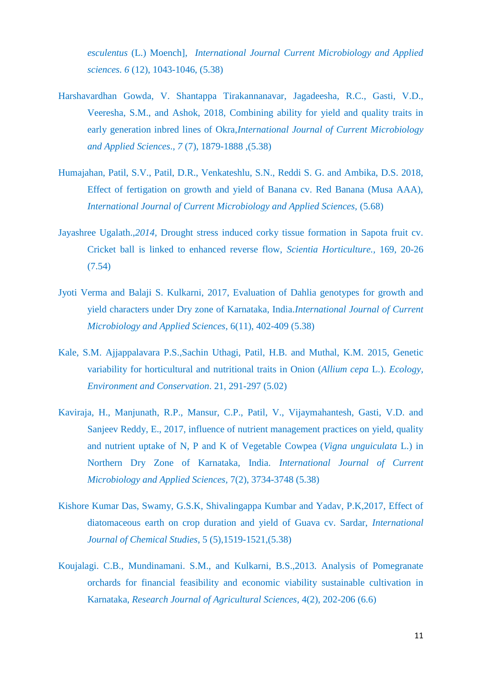*esculentus* (L.) Moench], *International Journal Current Microbiology and Applied sciences. 6* (12), 1043-1046, (5.38)

- Harshavardhan Gowda, V. Shantappa Tirakannanavar, Jagadeesha, R.C., Gasti, V.D., Veeresha, S.M., and Ashok, 2018, Combining ability for yield and quality traits in early generation inbred lines of Okra,*International Journal of Current Microbiology and Applied Sciences*., *7* (7), 1879-1888 ,(5.38)
- Humajahan, Patil, S.V., Patil, D.R., Venkateshlu, S.N., Reddi S. G. and Ambika, D.S. 2018, Effect of fertigation on growth and yield of Banana cv. Red Banana (Musa AAA), *International Journal of Current Microbiology and Applied Sciences,* (5.68)
- Jayashree Ugalath.,*2014,* Drought stress induced corky tissue formation in Sapota fruit cv. Cricket ball is linked to enhanced reverse flow, *Scientia Horticulture.,* 169, 20-26 (7.54)
- Jyoti Verma and Balaji S. Kulkarni, 2017, Evaluation of Dahlia genotypes for growth and yield characters under Dry zone of Karnataka, India.*International Journal of Current Microbiology and Applied Sciences*, 6(11), 402-409 (5.38)
- Kale, S.M. Ajjappalavara P.S.,Sachin Uthagi, Patil, H.B. and Muthal, K.M. 2015, Genetic variability for horticultural and nutritional traits in Onion (*Allium cepa* L.). *Ecology, Environment and Conservation*. 21, 291-297 (5.02)
- Kaviraja, H., Manjunath, R.P., Mansur, C.P., Patil, V., Vijaymahantesh, Gasti, V.D. and Sanjeev Reddy, E., 2017, influence of nutrient management practices on yield, quality and nutrient uptake of N, P and K of Vegetable Cowpea (*Vigna unguiculata* L.) in Northern Dry Zone of Karnataka, India. *International Journal of Current Microbiology and Applied Sciences,* 7(2), 3734-3748 (5.38)
- Kishore Kumar Das, Swamy, G.S.K, Shivalingappa Kumbar and Yadav, P.K,2017, Effect of diatomaceous earth on crop duration and yield of Guava cv. Sardar, *International Journal of Chemical Studies*, 5 (5),1519-1521,(5.38)
- Koujalagi. C.B., Mundinamani. S.M., and Kulkarni, B.S.,2013. Analysis of Pomegranate orchards for financial feasibility and economic viability sustainable cultivation in Karnataka, *Research Journal of Agricultural Sciences,* 4(2), 202-206 (6.6)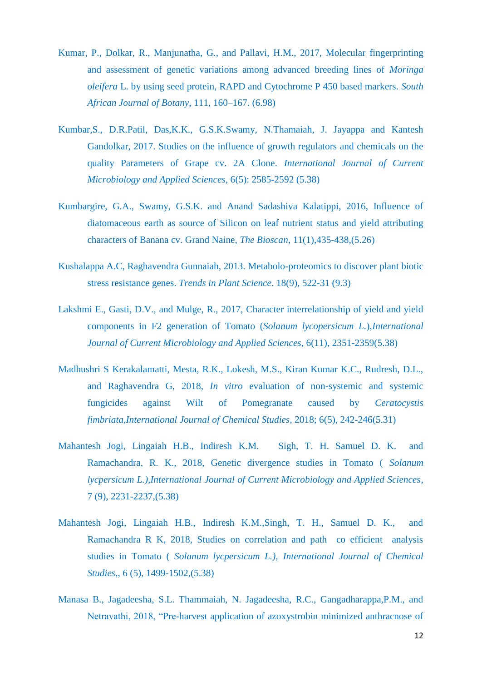- Kumar, P., Dolkar, R., Manjunatha, G., and Pallavi, H.M., 2017, Molecular fingerprinting and assessment of genetic variations among advanced breeding lines of *Moringa oleifera* L. by using seed protein, RAPD and Cytochrome P 450 based markers. *South African Journal of Botany*, 111, 160–167. (6.98)
- Kumbar,S., D.R.Patil, Das,K.K., G.S.K.Swamy, N.Thamaiah, J. Jayappa and Kantesh Gandolkar, 2017. Studies on the influence of growth regulators and chemicals on the quality Parameters of Grape cv. 2A Clone. *International Journal of Current Microbiology and Applied Sciences*, 6(5): 2585-2592 (5.38)
- Kumbargire, G.A., Swamy, G.S.K. and Anand Sadashiva Kalatippi, 2016, Influence of diatomaceous earth as source of Silicon on leaf nutrient status and yield attributing characters of Banana cv. Grand Naine, *The Bioscan*, 11(1),435-438,(5.26)
- Kushalappa A.C, Raghavendra Gunnaiah, 2013. Metabolo-proteomics to discover plant biotic stress resistance genes. *Trends in Plant Science*. 18(9), 522-31 (9.3)
- Lakshmi E., Gasti, D.V., and Mulge, R., 2017, Character interrelationship of yield and yield components in F2 generation of Tomato (*Solanum lycopersicum L.*),*International Journal of Current Microbiology and Applied Sciences*, 6(11), 2351-2359(5.38)
- Madhushri S Kerakalamatti, Mesta, R.K., Lokesh, M.S., Kiran Kumar K.C., Rudresh, D.L., and Raghavendra G, 2018, *In vitro* evaluation of non-systemic and systemic fungicides against Wilt of Pomegranate caused by *Ceratocystis fimbriata,International Journal of Chemical Studies,* 2018; 6(5), 242-246(5.31)
- Mahantesh Jogi, Lingaiah H.B., Indiresh K.M. Sigh, T. H. Samuel D. K. and Ramachandra, R. K., 2018, Genetic divergence studies in Tomato ( *Solanum lycpersicum L.),International Journal of Current Microbiology and Applied Sciences*, 7 (9), 2231-2237,(5.38)
- Mahantesh Jogi, Lingaiah H.B., Indiresh K.M.,Singh, T. H., Samuel D. K., and Ramachandra R K, 2018, Studies on correlation and path co efficient analysis studies in Tomato ( *Solanum lycpersicum L.), International Journal of Chemical Studies,*, 6 (5), 1499-1502,(5.38)
- Manasa B., Jagadeesha, S.L. Thammaiah, N. Jagadeesha, R.C., Gangadharappa,P.M., and Netravathi, 2018, "Pre-harvest application of azoxystrobin minimized anthracnose of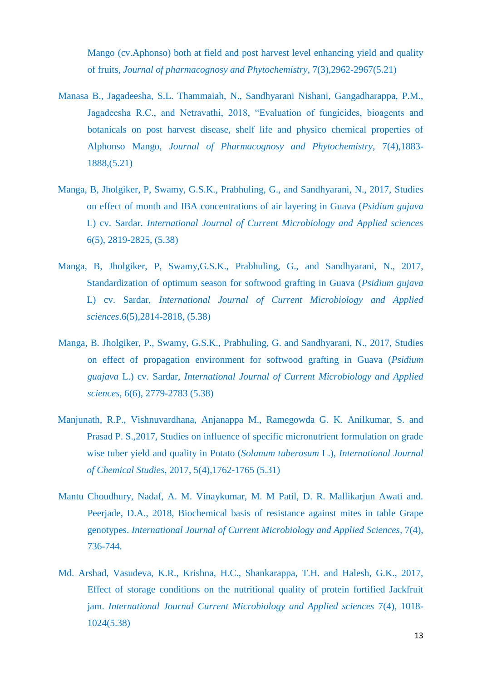Mango (cv.Aphonso) both at field and post harvest level enhancing yield and quality of fruits, *Journal of pharmacognosy and Phytochemistry*, 7(3),2962-2967(5.21)

- Manasa B., Jagadeesha, S.L. Thammaiah, N., Sandhyarani Nishani, Gangadharappa, P.M., Jagadeesha R.C., and Netravathi, 2018, "Evaluation of fungicides, bioagents and botanicals on post harvest disease, shelf life and physico chemical properties of Alphonso Mango, *Journal of Pharmacognosy and Phytochemistry,* 7(4),1883- 1888,(5.21)
- Manga, B, Jholgiker, P, Swamy, G.S.K., Prabhuling, G., and Sandhyarani, N., 2017, Studies on effect of month and IBA concentrations of air layering in Guava (*Psidium gujava*  L) cv. Sardar. *International Journal of Current Microbiology and Applied sciences* 6(5), 2819-2825, (5.38)
- Manga, B, Jholgiker, P, Swamy,G.S.K., Prabhuling, G., and Sandhyarani, N., 2017, Standardization of optimum season for softwood grafting in Guava (*Psidium gujava*  L) cv. Sardar, *International Journal of Current Microbiology and Applied sciences*.6(5),2814-2818, (5.38)
- Manga, B. Jholgiker, P., Swamy, G.S.K., Prabhuling, G. and Sandhyarani, N., 2017, Studies on effect of propagation environment for softwood grafting in Guava (*Psidium guajava* L.) cv. Sardar, *International Journal of Current Microbiology and Applied sciences,* 6(6), 2779-2783 (5.38)
- Manjunath, R.P., Vishnuvardhana, Anjanappa M., Ramegowda G. K. Anilkumar, S. and Prasad P. S.,2017, Studies on influence of specific micronutrient formulation on grade wise tuber yield and quality in Potato (*Solanum tuberosum* L.), *International Journal of Chemical Studies*, 2017, 5(4),1762-1765 (5.31)
- Mantu Choudhury, Nadaf, A. M. Vinaykumar, M. M Patil, D. R. Mallikarjun Awati and. Peerjade, D.A., 2018, Biochemical basis of resistance against mites in table Grape genotypes. *International Journal of Current Microbiology and Applied Sciences,* 7(4), 736-744.
- Md. Arshad, Vasudeva, K.R., Krishna, H.C., Shankarappa, T.H. and Halesh, G.K., 2017, Effect of storage conditions on the nutritional quality of protein fortified Jackfruit jam. *International Journal Current Microbiology and Applied sciences* 7(4), 1018- 1024(5.38)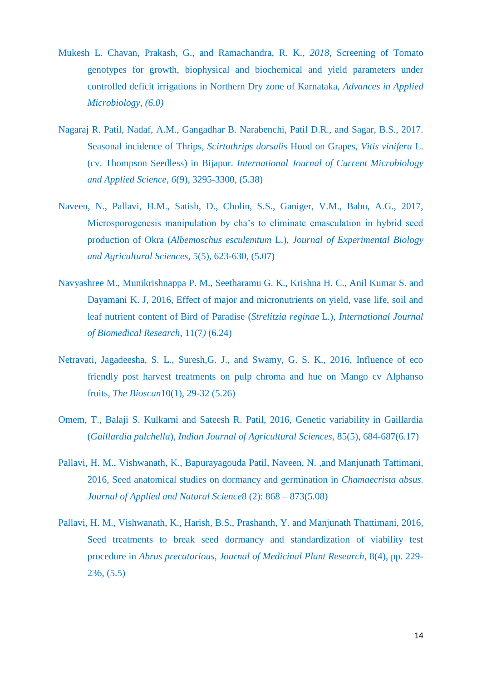- Mukesh L. Chavan, Prakash, G., and Ramachandra, R. K.*, 2018,* Screening of Tomato genotypes for growth, biophysical and biochemical and yield parameters under controlled deficit irrigations in Northern Dry zone of Karnataka, *Advances in Applied Microbiology, (6.0)*
- Nagaraj R. Patil, Nadaf, A.M., Gangadhar B. Narabenchi, Patil D.R., and Sagar, B.S., 2017. Seasonal incidence of Thrips, *Scirtothrips dorsalis* Hood on Grapes, *Vitis vinifera* L. (cv. Thompson Seedless) in Bijapur. *International Journal of Current Microbiology and Applied Science*, *6*(9), 3295-3300, (5.38)
- Naveen, N., Pallavi, H.M., Satish, D., Cholin, S.S., Ganiger, V.M., Babu, A.G., 2017, Microsporogenesis manipulation by cha's to eliminate emasculation in hybrid seed production of Okra (*Albemoschus esculemtum* L.), *Journal of Experimental Biology and Agricultural Sciences,* 5(5), 623-630, (5.07)
- Navyashree M., Munikrishnappa P. M., Seetharamu G. K., Krishna H. C., Anil Kumar S. and Dayamani K. J, 2016, Effect of major and micronutrients on yield, vase life, soil and leaf nutrient content of Bird of Paradise (*Strelitzia reginae* L.), *International Journal of Biomedical Research,* 11(7*)* (6.24)
- Netravati, Jagadeesha, S. L., Suresh,G. J., and Swamy, G. S. K., 2016, Influence of eco friendly post harvest treatments on pulp chroma and hue on Mango cv Alphanso fruits, *The Bioscan*10(1), 29-32 (5.26)
- Omem, T., Balaji S. Kulkarni and Sateesh R. Patil, 2016, Genetic variability in Gaillardia (*Gaillardia pulchella*), *Indian Journal of Agricultural Sciences,* 85(5), 684-687(6.17)
- Pallavi, H. M., Vishwanath, K., Bapurayagouda Patil, Naveen, N. ,and Manjunath Tattimani, 2016, Seed anatomical studies on dormancy and germination in *Chamaecrista absus. Journal of Applied and Natural Science*8 (2): 868 – 873(5.08)
- Pallavi, H. M., Vishwanath, K., Harish, B.S., Prashanth, Y. and Manjunath Thattimani, 2016, Seed treatments to break seed dormancy and standardization of viability test procedure in *Abrus precatorious, Journal of Medicinal Plant Research*, 8(4), pp. 229- 236, (5.5)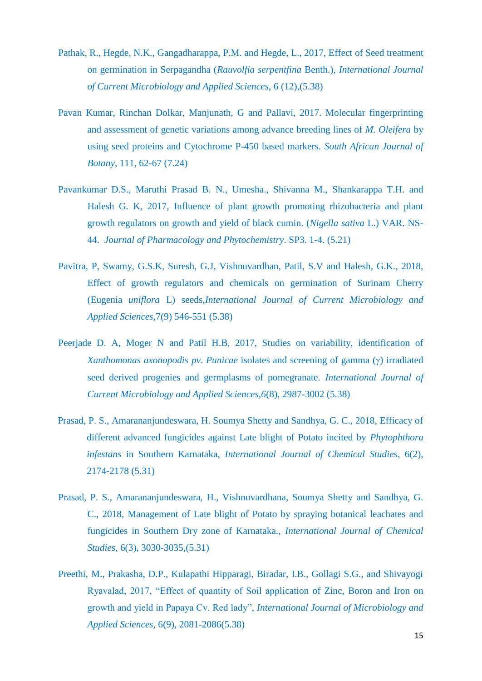- Pathak, R., Hegde, N.K., Gangadharappa, P.M. and Hegde, L., 2017, Effect of Seed treatment on germination in Serpagandha (*Rauvolfia serpentfina* Benth.), *International Journal of Current Microbiology and Applied Sciences*, 6 (12),(5.38)
- Pavan Kumar, Rinchan Dolkar, Manjunath, G and Pallavi, 2017. Molecular fingerprinting and assessment of genetic variations among advance breeding lines of *M. Oleifera* by using seed proteins and Cytochrome P-450 based markers. *South African Journal of Botany*, 111, 62-67 (7.24)
- Pavankumar D.S., Maruthi Prasad B. N., Umesha., Shivanna M., Shankarappa T.H. and Halesh G. K, 2017, Influence of plant growth promoting rhizobacteria and plant growth regulators on growth and yield of black cumin. (*Nigella sativa* L.) VAR. NS-44. *Journal of Pharmacology and Phytochemistry*. SP3. 1-4. (5.21)
- Pavitra, P, Swamy, G.S.K, Suresh, G.J, Vishnuvardhan, Patil, S.V and Halesh, G.K., 2018, Effect of growth regulators and chemicals on germination of Surinam Cherry (Eugenia *uniflora* L) seeds,*International Journal of Current Microbiology and Applied Sciences,*7(9) 546-551 (5.38)
- Peerjade D. A, Moger N and Patil H.B, 2017, Studies on variability, identification of *Xanthomonas axonopodis pv. Punicae* isolates and screening of gamma ( $\gamma$ ) irradiated seed derived progenies and germplasms of pomegranate. *International Journal of Current Microbiology and Applied Sciences,6*(8), 2987-3002 (5.38)
- Prasad, P. S., Amarananjundeswara, H. Soumya Shetty and Sandhya, G. C., 2018, Efficacy of different advanced fungicides against Late blight of Potato incited by *Phytophthora infestans* in Southern Karnataka, *International Journal of Chemical Studies*, 6(2), 2174-2178 (5.31)
- Prasad, P. S., Amarananjundeswara, H., Vishnuvardhana, Soumya Shetty and Sandhya, G. C., 2018, Management of Late blight of Potato by spraying botanical leachates and fungicides in Southern Dry zone of Karnataka., *International Journal of Chemical Studies*, 6(3), 3030-3035,(5.31)
- Preethi, M., Prakasha, D.P., Kulapathi Hipparagi, Biradar, I.B., Gollagi S.G., and Shivayogi Ryavalad, 2017, "Effect of quantity of Soil application of Zinc, Boron and Iron on growth and yield in Papaya Cv. Red lady", *International Journal of Microbiology and Applied Sciences,* 6(9), 2081-2086(5.38)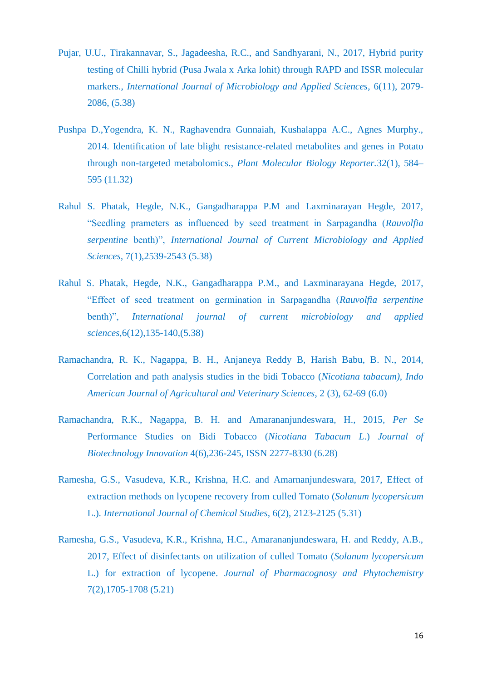- Pujar, U.U., Tirakannavar, S., Jagadeesha, R.C., and Sandhyarani, N., 2017, Hybrid purity testing of Chilli hybrid (Pusa Jwala x Arka lohit) through RAPD and ISSR molecular markers., *International Journal of Microbiology and Applied Sciences*, 6(11), 2079- 2086, (5.38)
- Pushpa D.,Yogendra, K. N., Raghavendra Gunnaiah, Kushalappa A.C., Agnes Murphy., 2014. Identification of late blight resistance-related metabolites and genes in Potato through non-targeted metabolomics., *Plant Molecular Biology Reporter.*32(1), 584– 595 (11.32)
- Rahul S. Phatak, Hegde, N.K., Gangadharappa P.M and Laxminarayan Hegde, 2017, "Seedling prameters as influenced by seed treatment in Sarpagandha (*Rauvolfia serpentine* benth)", *International Journal of Current Microbiology and Applied Sciences,* 7(1),2539-2543 (5.38)
- Rahul S. Phatak, Hegde, N.K., Gangadharappa P.M., and Laxminarayana Hegde, 2017, "Effect of seed treatment on germination in Sarpagandha (*Rauvolfia serpentine* benth)", *International journal of current microbiology and applied sciences,*6(12),135-140,(5.38)
- Ramachandra, R. K., Nagappa, B. H., Anjaneya Reddy B, Harish Babu, B. N., 2014, Correlation and path analysis studies in the bidi Tobacco (*Nicotiana tabacum), Indo American Journal of Agricultural and Veterinary Sciences*, 2 (3), 62-69 (6.0)
- Ramachandra, R.K., Nagappa, B. H. and Amarananjundeswara, H., 2015, *Per Se* Performance Studies on Bidi Tobacco (*Nicotiana Tabacum L*.) *Journal of Biotechnology Innovation* 4(6),236-245, ISSN 2277-8330 (6.28)
- Ramesha, G.S., Vasudeva, K.R., Krishna, H.C. and Amarnanjundeswara, 2017, Effect of extraction methods on lycopene recovery from culled Tomato (*Solanum lycopersicum* L.). *International Journal of Chemical Studies,* 6(2), 2123-2125 (5.31)
- Ramesha, G.S., Vasudeva, K.R., Krishna, H.C., Amarananjundeswara, H. and Reddy, A.B., 2017, Effect of disinfectants on utilization of culled Tomato (*Solanum lycopersicum* L.) for extraction of lycopene. *Journal of Pharmacognosy and Phytochemistry* 7(2),1705-1708 (5.21)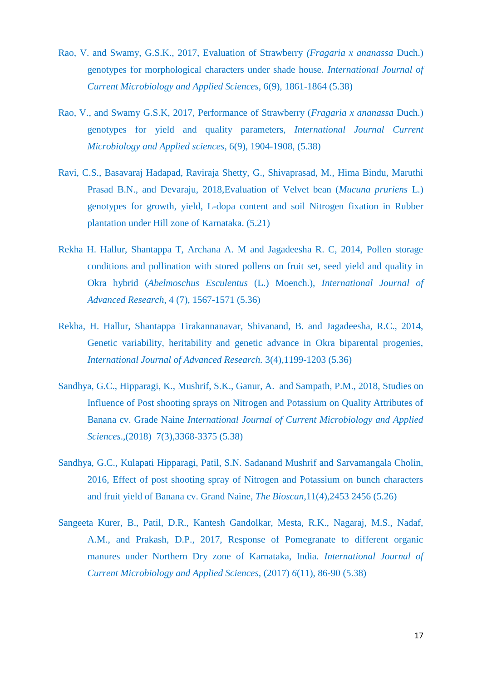- Rao, V. and Swamy, G.S.K., 2017, Evaluation of Strawberry *(Fragaria x ananassa* Duch.) genotypes for morphological characters under shade house. *International Journal of Current Microbiology and Applied Sciences,* 6(9), 1861-1864 (5.38)
- Rao, V., and Swamy G.S.K, 2017, Performance of Strawberry (*Fragaria x ananassa* Duch.) genotypes for yield and quality parameters, *International Journal Current Microbiology and Applied sciences*, 6(9), 1904-1908, (5.38)
- Ravi, C.S., Basavaraj Hadapad, Raviraja Shetty, G., Shivaprasad, M., Hima Bindu, Maruthi Prasad B.N., and Devaraju, 2018,Evaluation of Velvet bean (*Mucuna pruriens* L.) genotypes for growth, yield, L-dopa content and soil Nitrogen fixation in Rubber plantation under Hill zone of Karnataka. (5.21)
- Rekha H. Hallur, Shantappa T, Archana A. M and Jagadeesha R. C, 2014, Pollen storage conditions and pollination with stored pollens on fruit set, seed yield and quality in Okra hybrid (*Abelmoschus Esculentus* (L.) Moench.), *International Journal of Advanced Research*, 4 (7), 1567-1571 (5.36)
- Rekha, H. Hallur, Shantappa Tirakannanavar, Shivanand, B. and Jagadeesha, R.C., 2014, Genetic variability, heritability and genetic advance in Okra biparental progenies, *International Journal of Advanced Research.* 3(4),1199-1203 (5.36)
- Sandhya, G.C., Hipparagi, K., Mushrif, S.K., Ganur, A. and Sampath, P.M., 2018, Studies on Influence of Post shooting sprays on Nitrogen and Potassium on Quality Attributes of Banana cv. Grade Naine *International Journal of Current Microbiology and Applied Sciences*.,(2018) 7(3),3368-3375 (5.38)
- Sandhya, G.C., Kulapati Hipparagi, Patil, S.N. Sadanand Mushrif and Sarvamangala Cholin, 2016, Effect of post shooting spray of Nitrogen and Potassium on bunch characters and fruit yield of Banana cv. Grand Naine, *The Bioscan*,11(4),2453 2456 (5.26)
- Sangeeta Kurer, B., Patil, D.R., Kantesh Gandolkar, Mesta, R.K., Nagaraj, M.S., Nadaf, A.M., and Prakash, D.P., 2017, Response of Pomegranate to different organic manures under Northern Dry zone of Karnataka, India. *International Journal of Current Microbiology and Applied Sciences,* (2017) *6*(11), 86-90 (5.38)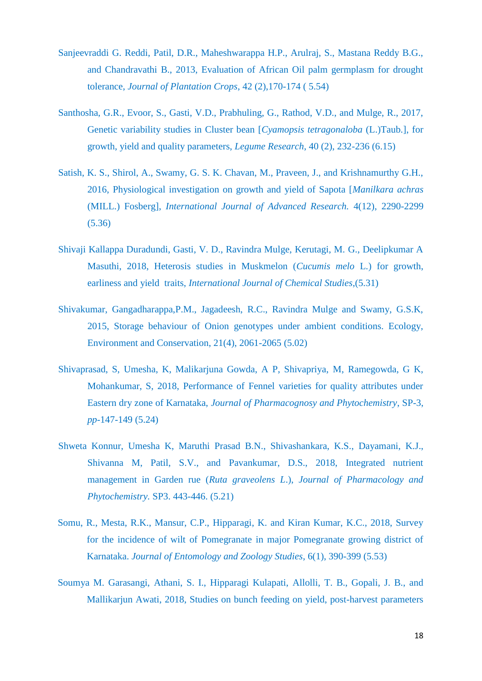- Sanjeevraddi G. Reddi, Patil, D.R., Maheshwarappa H.P., Arulraj, S., Mastana Reddy B.G., and Chandravathi B., 2013, Evaluation of African Oil palm germplasm for drought tolerance, *Journal of Plantation Crops*, 42 (2),170-174 ( 5.54)
- Santhosha, G.R., Evoor, S., Gasti, V.D., Prabhuling, G., Rathod, V.D., and Mulge, R., 2017, Genetic variability studies in Cluster bean [*Cyamopsis tetragonaloba* (L.)Taub.], for growth, yield and quality parameters, *Legume Research*, 40 (2), 232-236 (6.15)
- Satish, K. S., Shirol, A., Swamy, G. S. K. Chavan, M., Praveen, J., and Krishnamurthy G.H., 2016, Physiological investigation on growth and yield of Sapota [*Manilkara achras* (MILL.) Fosberg], *International Journal of Advanced Research.* 4(12), 2290-2299 (5.36)
- Shivaji Kallappa Duradundi, Gasti, V. D., Ravindra Mulge, Kerutagi, M. G., Deelipkumar A Masuthi, 2018, Heterosis studies in Muskmelon (*Cucumis melo* L.) for growth, earliness and yield traits, *International Journal of Chemical Studies*,(5.31)
- Shivakumar, Gangadharappa,P.M., Jagadeesh, R.C., Ravindra Mulge and Swamy, G.S.K, 2015, Storage behaviour of Onion genotypes under ambient conditions. Ecology, Environment and Conservation, 21(4), 2061-2065 (5.02)
- Shivaprasad, S, Umesha, K, Malikarjuna Gowda, A P, Shivapriya, M, Ramegowda, G K, Mohankumar, S, 2018, Performance of Fennel varieties for quality attributes under Eastern dry zone of Karnataka, *Journal of Pharmacognosy and Phytochemistry*, SP-3, *pp-*147-149 (5.24)
- Shweta Konnur, Umesha K, Maruthi Prasad B.N., Shivashankara, K.S., Dayamani, K.J., Shivanna M, Patil, S.V., and Pavankumar, D.S., 2018, Integrated nutrient management in Garden rue (*Ruta graveolens L*.), *Journal of Pharmacology and Phytochemistry.* SP3. 443-446. (5.21)
- Somu, R., Mesta, R.K., Mansur, C.P., Hipparagi, K. and Kiran Kumar, K.C., 2018, Survey for the incidence of wilt of Pomegranate in major Pomegranate growing district of Karnataka. *Journal of Entomology and Zoology Studies*, 6(1), 390-399 (5.53)
- Soumya M. Garasangi, Athani, S. I., Hipparagi Kulapati, Allolli, T. B., Gopali, J. B., and Mallikarjun Awati, 2018, Studies on bunch feeding on yield, post-harvest parameters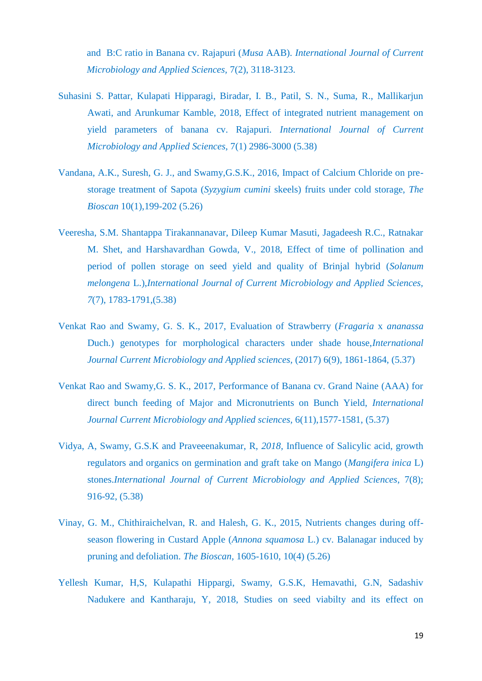and B:C ratio in Banana cv. Rajapuri (*Musa* AAB). *International Journal of Current Microbiology and Applied Sciences,* 7(2), 3118-3123.

- Suhasini S. Pattar, Kulapati Hipparagi, Biradar, I. B., Patil, S. N., Suma, R., Mallikarjun Awati, and Arunkumar Kamble, 2018, Effect of integrated nutrient management on yield parameters of banana cv. Rajapuri. *International Journal of Current Microbiology and Applied Sciences*, 7(1) 2986-3000 (5.38)
- Vandana, A.K., Suresh, G. J., and Swamy,G.S.K., 2016, Impact of Calcium Chloride on prestorage treatment of Sapota (*Syzygium cumini* skeels) fruits under cold storage, *The Bioscan* 10(1),199-202 (5.26)
- Veeresha, S.M. Shantappa Tirakannanavar, Dileep Kumar Masuti, Jagadeesh R.C., Ratnakar M. Shet, and Harshavardhan Gowda, V., 2018, Effect of time of pollination and period of pollen storage on seed yield and quality of Brinjal hybrid (*Solanum melongena* L.),*International Journal of Current Microbiology and Applied Sciences, 7*(7), 1783-1791,(5.38)
- Venkat Rao and Swamy, G. S. K., 2017, Evaluation of Strawberry (*Fragaria* x *ananassa*  Duch.) genotypes for morphological characters under shade house,*International Journal Current Microbiology and Applied sciences,* (2017) 6(9), 1861-1864, (5.37)
- Venkat Rao and Swamy,G. S. K., 2017, Performance of Banana cv. Grand Naine (AAA) for direct bunch feeding of Major and Micronutrients on Bunch Yield, *International Journal Current Microbiology and Applied sciences,* 6(11),1577-1581, (5.37)
- Vidya, A, Swamy, G.S.K and Praveeenakumar, R, *2018,* Influence of Salicylic acid, growth regulators and organics on germination and graft take on Mango (*Mangifera inica* L) stones.*International Journal of Current Microbiology and Applied Sciences*, 7(8); 916-92, (5.38)
- Vinay, G. M., Chithiraichelvan, R. and Halesh, G. K., 2015, Nutrients changes during offseason flowering in Custard Apple (*Annona squamosa* L.) cv. Balanagar induced by pruning and defoliation. *The Bioscan,* 1605-1610, 10(4) (5.26)
- Yellesh Kumar, H,S, Kulapathi Hippargi, Swamy, G.S.K, Hemavathi, G.N, Sadashiv Nadukere and Kantharaju, Y, 2018, Studies on seed viabilty and its effect on